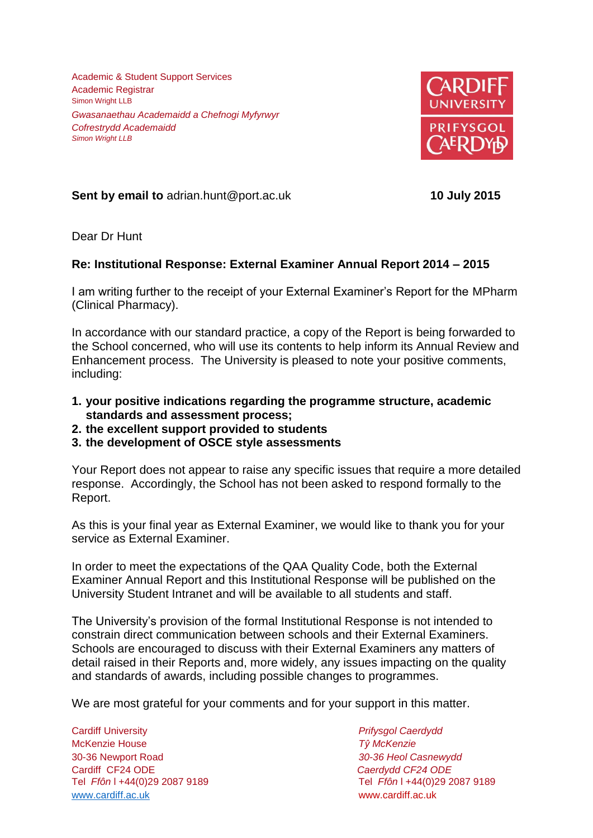Academic & Student Support Services Academic Registrar Simon Wright LLB *Gwasanaethau Academaidd a Chefnogi Myfyrwyr Cofrestrydd Academaidd Simon Wright LLB*



**Sent by email to** adrian.hunt@port.ac.uk **10 July 2015**

Dear Dr Hunt

## **Re: Institutional Response: External Examiner Annual Report 2014 – 2015**

I am writing further to the receipt of your External Examiner's Report for the MPharm (Clinical Pharmacy).

In accordance with our standard practice, a copy of the Report is being forwarded to the School concerned, who will use its contents to help inform its Annual Review and Enhancement process. The University is pleased to note your positive comments, including:

- **1. your positive indications regarding the programme structure, academic standards and assessment process;**
- **2. the excellent support provided to students**
- **3. the development of OSCE style assessments**

Your Report does not appear to raise any specific issues that require a more detailed response. Accordingly, the School has not been asked to respond formally to the Report.

As this is your final year as External Examiner, we would like to thank you for your service as External Examiner.

In order to meet the expectations of the QAA Quality Code, both the External Examiner Annual Report and this Institutional Response will be published on the University Student Intranet and will be available to all students and staff.

The University's provision of the formal Institutional Response is not intended to constrain direct communication between schools and their External Examiners. Schools are encouraged to discuss with their External Examiners any matters of detail raised in their Reports and, more widely, any issues impacting on the quality and standards of awards, including possible changes to programmes.

We are most grateful for your comments and for your support in this matter.

Cardiff University *Prifysgol Caerdydd* McKenzie House *Tŷ McKenzie* 30-36 Newport Road *30-36 Heol Casnewydd* Cardiff CF24 ODE *Caerdydd CF24 ODE* [www.cardiff.ac.uk](http://www.cardiff.ac.uk/) www.cardiff.ac.uk

Tel *Ffôn* l +44(0)29 2087 9189 Tel *Ffôn* l +44(0)29 2087 9189